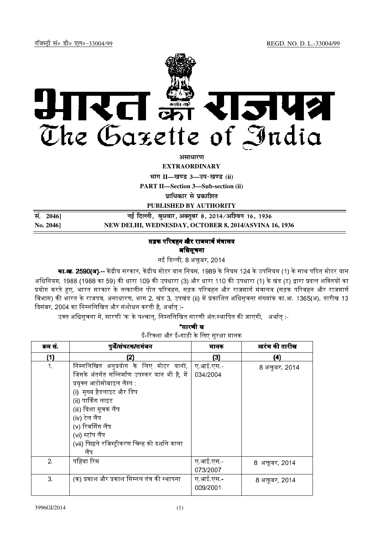

असाधारण

**EXTRAORDINARY** 

भाग II-खण्ड 3-उप-खण्ड (ii)

**PART II-Section 3-Sub-section (ii)** 

प्राधिकार से प्रकाशित

PUBLISHED BY AUTHORITY

| सं. 2046]            | नई दिल्ली, बुधवार, अक्तूबर 8, 2014/अश्विन 16, 1936    |
|----------------------|-------------------------------------------------------|
| $\mathrm{No.}\,2046$ | NEW DELHI, WEDNESDAY, OCTOBER 8, 2014/ASVINA 16, 1936 |

## सड़क परिवहन और राजमार्ग मंत्रालय अधिसूचना

नई दिल्ली, 8 अक्तूबर, 2014

**का.आ. 2590(अ).**-- केंद्रीय सरकार, केंद्रीय मोटर यान नियम, 1989 के नियम 124 के उपनियम (1) के साथ पठित मोटर यान अधिनियम, 1988 (1988 का 59) की धारा 109 की उपधारा (3) और धारा 110 की उपधारा (1) के खंड (ट) द्वारा प्रदत्त शक्तियों का प्रयोग करते हुए, भारत सरकार के तत्कालीन पोत परिवहन, सड़क परिवहन और राजमार्ग मंत्रालय (सड़क परिवहन और राजमार्ग विभाग) की भारत के राजपत्र, असाधारण, भाग 2, खंड 3, उपखंड (ii) में प्रकाशित अधिसूचना संख्यांक का.आ. 1365(अ), तारीख 13 दिसंबर, 2004 का निम्नलिखित और संशोधन करती है, अर्थात् :-

उक्त अधिसूचना में, सारणी 'क' के पश्चात, निम्नलिखित सारणी अंत:स्थापित की जाएगी, अर्थात :-

|                | इ-रिक्शा आर इ-गाड़ा के लिए सुरक्षा मानक                                                                                                                                                                                                                     |                       |                 |  |  |
|----------------|-------------------------------------------------------------------------------------------------------------------------------------------------------------------------------------------------------------------------------------------------------------|-----------------------|-----------------|--|--|
| क्रम सं.       | पुर्जें/संघटक/समंजन                                                                                                                                                                                                                                         | मानक                  | आरंभ की तारीख   |  |  |
| (1)            | 2)                                                                                                                                                                                                                                                          | (3)                   | (4)             |  |  |
| 1 <sub>1</sub> | निम्नलिखित अनुप्रयोग के लिए मोटर यानों,<br>जिसके अंतर्गत सन्निर्माण उपस्कर यान भी है, में<br>प्रयुक्त आटोमोबाइल लैम्प :<br>(i) मुख्य हैडलाइट और डिप<br>(ii) पार्किंग लाइट<br>(iii) दिशा सूचक लैंप<br>(iv) टेल लैंप<br>(v) रिवर्सिंग लैंप<br>(vi) स्टॉप लैंप | ए आई एस -<br>034/2004 | 8 अक्तूबर, 2014 |  |  |
|                | (vii) पिछले रजिस्ट्रीकरण चिन्ह को दर्शाने वाला<br>लैंप                                                                                                                                                                                                      |                       |                 |  |  |
| 2 <sub>1</sub> | पहिया रिम                                                                                                                                                                                                                                                   | ए आई एस -<br>073/2007 | 8 अक्तूबर, 2014 |  |  |
| 3 <sub>1</sub> | (क) प्रकाश और प्रकाश सिग्नल तंत्र की स्थापना                                                                                                                                                                                                                | ए आई एस -<br>009/2001 | 8 अक्तूबर, 2014 |  |  |

| "सारणी ख                                |  |  |  |  |  |  |  |
|-----------------------------------------|--|--|--|--|--|--|--|
| ई-रिक्शा और ई-गाड़ी के लिए सुरक्षा मानक |  |  |  |  |  |  |  |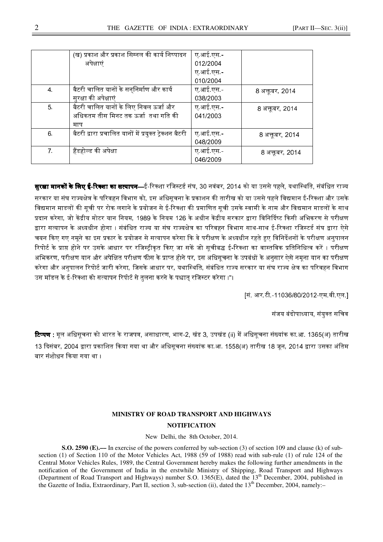|                | (ख) प्रकाश और प्रकाश सिग्नल की कार्य निष्पादन           | ए आई.एस - |                 |
|----------------|---------------------------------------------------------|-----------|-----------------|
|                | अपेक्षाएं                                               | 012/2004  |                 |
|                |                                                         | ए आई एस - |                 |
|                |                                                         | 010/2004  |                 |
| 4.             | बैटरी चालित यानों के सन्निर्माण और कार्य                | ए आई एस - | 8 अक्तूबर, 2014 |
|                | सुरक्षा की अपेक्षाएं                                    | 038/2003  |                 |
| 5 <sub>1</sub> | बैटरी चालित यानों के लिए निवल ऊर्जा और                  | ए आई.एस - | 8 अक्तूबर, 2014 |
|                | अधिकतम तीस मिनट तक ऊर्जा  तथा गति की                    | 041/2003  |                 |
|                | माप                                                     |           |                 |
| 6.             | बैटरी द्वारा प्रचालित यानों में प्रयुक्त ट्रेक्शन बैटरी | ए आई एस - | 8 अक्तूबर, 2014 |
|                |                                                         | 048/2009  |                 |
| 7 <sup>1</sup> | हैंडहोल्ड की अपेक्षा                                    | ए आई एस - | 8 अक्तूबर, 2014 |
|                |                                                         | 046/2009  |                 |

**सरक्षा मानकों के लिए ई-रिक्शा का सत्यापन—**ई-रिक्शा रजिस्टर्ड संघ. 30 नवंबर, 2014 को या उससे पहले. यथास्थिति, संबंधित राज्य सरकार या संघ राज्यक्षेत्र के परिवहन विभाग को. इस अधिसचना के प्रकाशन की तारीख को या उससे पहले विद्यमान ई-रिक्शा और उसके विद्यमान माडलों की सुची पर रोक लगाने के प्रयोजन से ई-रिक्शा की प्रमाणित सुची उसके स्वामी के नाम और विद्यमान माडलों के साथ प्रदान करेगा. जो केंद्रीय मोटर यान नियम. 1989 के नियम 126 के अधीन केंद्रीय सरकार द्वारा विनिर्दिष्ट किसी अभिकरण से परीक्षण द्वारा सत्यापन के अध्यधीन होगा । संबंधित राज्य या संघ राज्यक्षेत्र का परिवहन विभाग साथ-साथ ई-रिक्शा रजिस्टर्ड संघ द्वारा ऐसे चयन किए गए नमने का इस प्रकार के प्रयोजन से सत्यापन करेगा कि वे परीक्षण के अध्यधीन रहते हए विनिर्देशनों के परीक्षण अनपालन रिपोर्ट के प्राप्त होने पर उसके आधार पर रजिस्टीकत किए जा सकें जो सचीबद्ध ई-रिक्शा का वास्तविक प्रतिनिधित्व करें । परीक्षण अभिकरण, परीक्षण यान और अपेक्षित परीक्षण फीस के प्राप्त होने पर. इस अधिसचना के उपबंधों के अनसार ऐसे नमना यान का परीक्षण करेगा और अनपालन रिपोर्ट जारी करेगा. जिसके आधार पर. यथास्थिति. संबंधित राज्य सरकार या संघ राज्य क्षेत्र का परिवहन विभाग उस मॉडल के ई-रिक्शा को सत्यापन रिपोर्ट से तलना करने के पश्चात रजिस्टर करेगा ।"।

[सं. आर.टी.-11036/80/2012-एम.वी.एल.]

संजय बंदोपाध्याय, संयुक्त सचिव

**टिप्पण :** मल अधिसचना को भारत के राजपत्र, असाधारण, भाग-2, खंड 3. उपखंड (ii) में अधिसचना संख्यांक का.आ. 1365(अ) तारीख 13 दिसंबर. 2004 द्वारा प्रकाशित किया गया था और अधिसचना संख्यांक का.आ. 1558(अ) तारीख 18 जन. 2014 द्वारा उसका अंतिम बार संशोधन किया गया था ।

## **MINISTRY OF ROAD TRANSPORT AND HIGHWAYS NOTIFICATION**

New Delhi, the 8th October, 2014.

**S.O. 2590 (E).––** In exercise of the powers conferred by sub-section (3) of section 109 and clause (k) of subsection (1) of Section 110 of the Motor Vehicles Act, 1988 (59 of 1988) read with sub-rule (1) of rule 124 of the Central Motor Vehicles Rules, 1989, the Central Government hereby makes the following further amendments in the notification of the Government of India in the erstwhile Ministry of Shipping, Road Transport and Highways (Department of Road Transport and Highways) number S.O. 1365(E), dated the 13<sup>th</sup> December, 2004, published in the Gazette of India, Extraordinary, Part II, section 3, sub-section (ii), dated the  $13<sup>th</sup>$  December, 2004, namely:-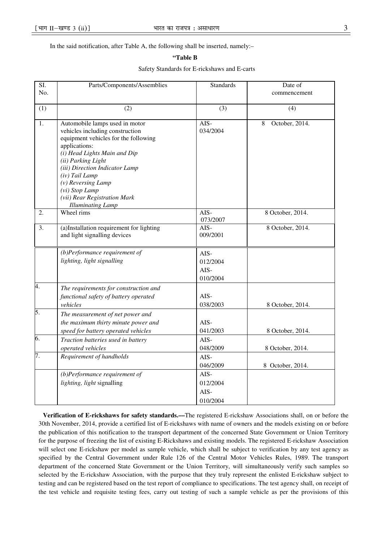In the said notification, after Table A, the following shall be inserted, namely:–

## **"Table B**

## Safety Standards for E-rickshaws and E-carts

| SI.<br>No. | Parts/Components/Assemblies                                                                                                                                                                                                                                                                                                                | <b>Standards</b>                       | Date of<br>commencement |
|------------|--------------------------------------------------------------------------------------------------------------------------------------------------------------------------------------------------------------------------------------------------------------------------------------------------------------------------------------------|----------------------------------------|-------------------------|
| (1)        | (2)                                                                                                                                                                                                                                                                                                                                        | (3)                                    | (4)                     |
| 1.         | Automobile lamps used in motor<br>vehicles including construction<br>equipment vehicles for the following<br>applications:<br>(i) Head Lights Main and Dip<br>(ii) Parking Light<br>(iii) Direction Indicator Lamp<br>(iv) Tail Lamp<br>$(v)$ Reversing Lamp<br>(vi) Stop Lamp<br>(vii) Rear Registration Mark<br><b>Illuminating Lamp</b> | AIS-<br>034/2004                       | October, 2014.<br>8     |
| 2.         | Wheel rims                                                                                                                                                                                                                                                                                                                                 | $AIS-$<br>073/2007                     | 8 October, 2014.        |
| 3.         | (a)Installation requirement for lighting<br>and light signalling devices                                                                                                                                                                                                                                                                   | AIS-<br>009/2001                       | 8 October, 2014.        |
|            | $(b)$ Performance requirement of<br>lighting, light signalling                                                                                                                                                                                                                                                                             | AIS-<br>012/2004<br>$AIS-$<br>010/2004 |                         |
| 4.         | The requirements for construction and<br>functional safety of battery operated<br>vehicles                                                                                                                                                                                                                                                 | AIS-<br>038/2003                       | 8 October, 2014.        |
| 5.         | The measurement of net power and<br>the maximum thirty minute power and<br>speed for battery operated vehicles                                                                                                                                                                                                                             | AIS-<br>041/2003                       | 8 October, 2014.        |
| 6.         | Traction batteries used in battery<br>operated vehicles                                                                                                                                                                                                                                                                                    | AIS-<br>048/2009                       | 8 October, 2014.        |
| 7.         | Requirement of handholds                                                                                                                                                                                                                                                                                                                   | AIS-<br>046/2009                       | 8 October, 2014.        |
|            | $(b)$ Performance requirement of<br>lighting, light signalling                                                                                                                                                                                                                                                                             | AIS-<br>012/2004<br>AIS-<br>010/2004   |                         |

**Verification of E-rickshaws for safety standards.––**The registered E-rickshaw Associations shall, on or before the 30th November, 2014, provide a certified list of E-rickshaws with name of owners and the models existing on or before the publication of this notification to the transport department of the concerned State Government or Union Territory for the purpose of freezing the list of existing E-Rickshaws and existing models. The registered E-rickshaw Association will select one E-rickshaw per model as sample vehicle, which shall be subject to verification by any test agency as specified by the Central Government under Rule 126 of the Central Motor Vehicles Rules, 1989. The transport department of the concerned State Government or the Union Territory, will simultaneously verify such samples so selected by the E-rickshaw Association, with the purpose that they truly represent the enlisted E-rickshaw subject to testing and can be registered based on the test report of compliance to specifications. The test agency shall, on receipt of the test vehicle and requisite testing fees, carry out testing of such a sample vehicle as per the provisions of this